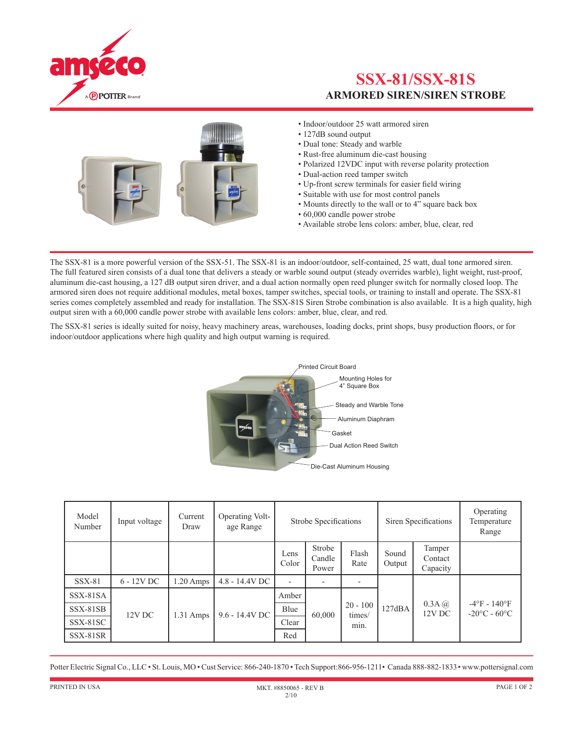

## **SSX-81/SSX-81S ARMORED SIREN/SIREN STROBE**



- Indoor/outdoor 25 watt armored siren
- 127dB sound output
- Dual tone: Steady and warble
- Rust-free aluminum die-cast housing
- Polarized 12VDC input with reverse polarity protection
- Dual-action reed tamper switch
- Up-front screw terminals for easier field wiring
- Suitable with use for most control panels
- Mounts directly to the wall or to  $4^{\tilde{n}}$  square back box
- 60,000 candle power strobe
- Available strobe lens colors: amber, blue, clear, red

The SSX-81 is a more powerful version of the SSX-51. The SSX-81 is an indoor/outdoor, self-contained, 25 watt, dual tone armored siren. The full featured siren consists of a dual tone that delivers a steady or warble sound output (steady overrides warble), light weight, rust-proof, aluminum die-cast housing, a 127 dB output siren driver, and a dual action normally open reed plunger switch for normally closed loop. The armored siren does not require additional modules, metal boxes, tamper switches, special tools, or training to install and operate. The SSX-81 series comes completely assembled and ready for installation. The SSX-81S Siren Strobe combination is also available. It is a high quality, high output siren with a 60,000 candle power strobe with available lens colors: amber, blue, clear, and red.

The SSX-81 series is ideally suited for noisy, heavy machinery areas, warehouses, loading docks, print shops, busy production floors, or for indoor/outdoor applications where high quality and high output warning is required.



| Model<br>Number | Input voltage | Current<br>Draw | Operating Volt-<br>age Range | Strobe Specifications |                           |                              | Siren Specifications |                               | Operating<br>Temperature<br>Range                       |
|-----------------|---------------|-----------------|------------------------------|-----------------------|---------------------------|------------------------------|----------------------|-------------------------------|---------------------------------------------------------|
|                 |               |                 |                              | Lens<br>Color         | Strobe<br>Candle<br>Power | Flash<br>Rate                | Sound<br>Output      | Tamper<br>Contact<br>Capacity |                                                         |
| $SSX-81$        | $6 - 12V$ DC  | $.20$ Amps      | 4.8 - 14.4V DC               |                       |                           |                              |                      |                               |                                                         |
| SSX-81SA        | 12V DC        | 1.31 Amps       | 9.6 - 14.4V DC               | Amber                 | 60,000                    | $20 - 100$<br>times/<br>min. | 127dBA               | $0.3A$ $\omega$<br>12V DC     | $-4$ °F - 140°F<br>$-20\textdegree C - 60\textdegree C$ |
| SSX-81SB        |               |                 |                              | Blue                  |                           |                              |                      |                               |                                                         |
| SSX-81SC        |               |                 |                              | Clear                 |                           |                              |                      |                               |                                                         |
| SSX-81SR        |               |                 |                              | Red                   |                           |                              |                      |                               |                                                         |

Potter Electric Signal Co., LLC • St. Louis, MO • Cust Service: 866-240-1870 • Tech Support:866-956-1211• Canada 888-882-1833• www.pottersignal.com